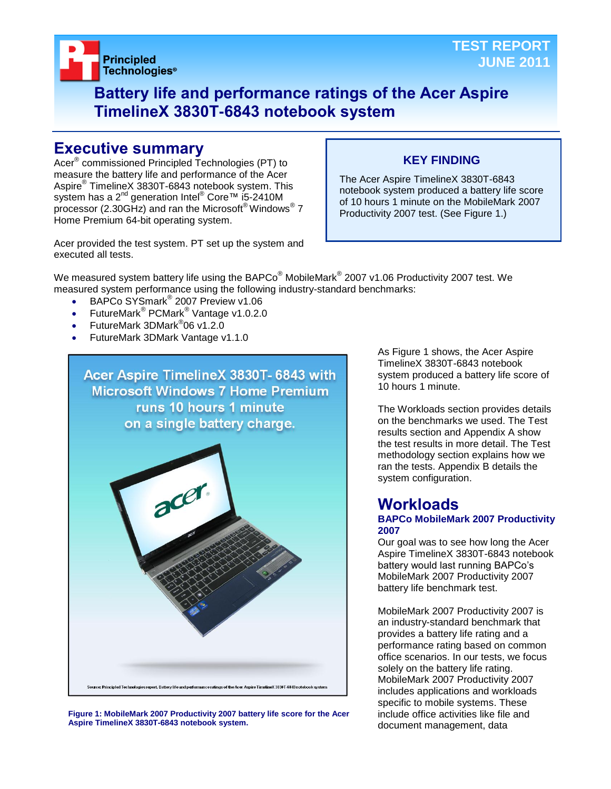

## **Battery life and performance ratings of the Acer Aspire TimelineX 3830T-6843 notebook system**

## **Executive summary**

Acer® commissioned Principled Technologies (PT) to measure the battery life and performance of the Acer Aspire® TimelineX 3830T-6843 notebook system. This system has a 2<sup>nd</sup> generation Intel<sup>®</sup> Core™ i5-2410M processor (2.30GHz) and ran the Microsoft® Windows® 7 Home Premium 64-bit operating system.

## **KEY FINDING**

The Acer Aspire TimelineX 3830T-6843 notebook system produced a battery life score of 10 hours 1 minute on the MobileMark 2007 Productivity 2007 test. (See Figure 1.)

Acer provided the test system. PT set up the system and executed all tests.

We measured system battery life using the BAPCo $^\circ$  MobileMark $^\circ$  2007 v1.06 Productivity 2007 test. We measured system performance using the following industry-standard benchmarks:

- BAPCo SYSmark<sup>®</sup> 2007 Preview v1.06
- FutureMark<sup>®</sup> PCMark<sup>®</sup> Vantage v1.0.2.0
- FutureMark 3DMark<sup>®</sup>06 v1.2.0
- FutureMark 3DMark Vantage v1.1.0



**Figure 1: MobileMark 2007 Productivity 2007 battery life score for the Acer Aspire TimelineX 3830T-6843 notebook system.**

As Figure 1 shows, the Acer Aspire TimelineX 3830T-6843 notebook system produced a battery life score of 10 hours 1 minute.

The Workloads section provides details on the benchmarks we used. The Test results section and Appendix A show the test results in more detail. The Test methodology section explains how we ran the tests. Appendix B details the system configuration.

## **Workloads**

### **BAPCo MobileMark 2007 Productivity 2007**

Our goal was to see how long the Acer Aspire TimelineX 3830T-6843 notebook battery would last running BAPCo's MobileMark 2007 Productivity 2007 battery life benchmark test.

MobileMark 2007 Productivity 2007 is an industry-standard benchmark that provides a battery life rating and a performance rating based on common office scenarios. In our tests, we focus solely on the battery life rating. MobileMark 2007 Productivity 2007 includes applications and workloads specific to mobile systems. These include office activities like file and document management, data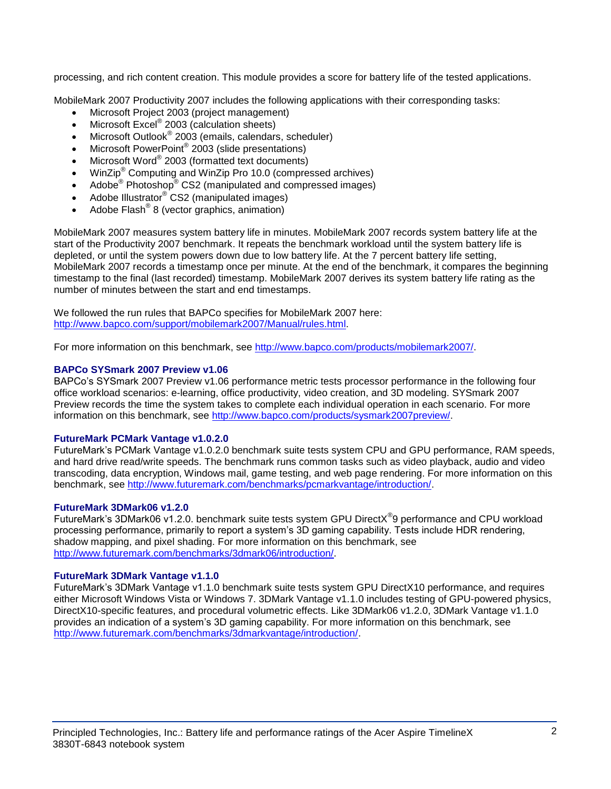processing, and rich content creation. This module provides a score for battery life of the tested applications.

MobileMark 2007 Productivity 2007 includes the following applications with their corresponding tasks:

- Microsoft Project 2003 (project management)
- $\bullet$  Microsoft Excel® 2003 (calculation sheets)
- Microsoft Outlook<sup>®</sup> 2003 (emails, calendars, scheduler)
- Microsoft PowerPoint® 2003 (slide presentations)
- Microsoft Word® 2003 (formatted text documents)
- WinZip® Computing and WinZip Pro 10.0 (compressed archives)
- Adobe® Photoshop<sup>®</sup> CS2 (manipulated and compressed images)
- Adobe Illustrator® CS2 (manipulated images)
- $\bullet$  Adobe Flash<sup>®</sup> 8 (vector graphics, animation)

MobileMark 2007 measures system battery life in minutes. MobileMark 2007 records system battery life at the start of the Productivity 2007 benchmark. It repeats the benchmark workload until the system battery life is depleted, or until the system powers down due to low battery life. At the 7 percent battery life setting, MobileMark 2007 records a timestamp once per minute. At the end of the benchmark, it compares the beginning timestamp to the final (last recorded) timestamp. MobileMark 2007 derives its system battery life rating as the number of minutes between the start and end timestamps.

We followed the run rules that BAPCo specifies for MobileMark 2007 here: [http://www.bapco.com/support/mobilemark2007/Manual/rules.html.](http://www.bapco.com/support/mobilemark2007/Manual/rules.html)

For more information on this benchmark, see [http://www.bapco.com/products/mobilemark2007/.](http://www.bapco.com/products/mobilemark2007/)

### **BAPCo SYSmark 2007 Preview v1.06**

BAPCo's SYSmark 2007 Preview v1.06 performance metric tests processor performance in the following four office workload scenarios: e-learning, office productivity, video creation, and 3D modeling. SYSmark 2007 Preview records the time the system takes to complete each individual operation in each scenario. For more information on this benchmark, see [http://www.bapco.com/products/sysmark2007preview/.](http://www.bapco.com/products/sysmark2007preview/)

#### **FutureMark PCMark Vantage v1.0.2.0**

FutureMark's PCMark Vantage v1.0.2.0 benchmark suite tests system CPU and GPU performance, RAM speeds, and hard drive read/write speeds. The benchmark runs common tasks such as video playback, audio and video transcoding, data encryption, Windows mail, game testing, and web page rendering. For more information on this benchmark, see [http://www.futuremark.com/benchmarks/pcmarkvantage/introduction/.](http://www.futuremark.com/benchmarks/pcmarkvantage/introduction/)

#### **FutureMark 3DMark06 v1.2.0**

FutureMark's 3DMark06 v1.2.0. benchmark suite tests system GPU DirectX<sup>®</sup>9 performance and CPU workload processing performance, primarily to report a system's 3D gaming capability. Tests include HDR rendering, shadow mapping, and pixel shading. For more information on this benchmark, see [http://www.futuremark.com/benchmarks/3dmark06/introduction/.](http://www.futuremark.com/benchmarks/3dmark06/introduction/)

## **FutureMark 3DMark Vantage v1.1.0**

FutureMark's 3DMark Vantage v1.1.0 benchmark suite tests system GPU DirectX10 performance, and requires either Microsoft Windows Vista or Windows 7. 3DMark Vantage v1.1.0 includes testing of GPU-powered physics, DirectX10-specific features, and procedural volumetric effects. Like 3DMark06 v1.2.0, 3DMark Vantage v1.1.0 provides an indication of a system's 3D gaming capability. For more information on this benchmark, see [http://www.futuremark.com/benchmarks/3dmarkvantage/introduction/.](http://www.futuremark.com/benchmarks/3dmarkvantage/introduction/)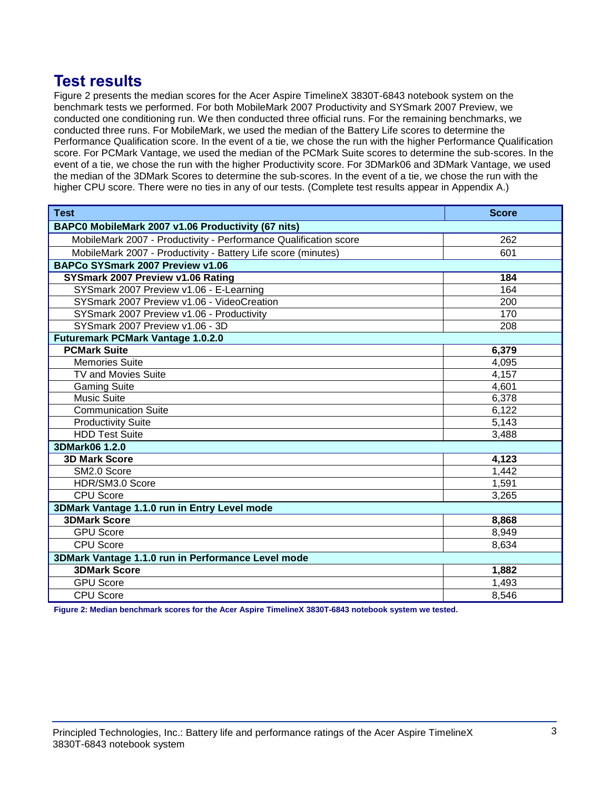## **Test results**

Figure 2 presents the median scores for the Acer Aspire TimelineX 3830T-6843 notebook system on the benchmark tests we performed. For both MobileMark 2007 Productivity and SYSmark 2007 Preview, we conducted one conditioning run. We then conducted three official runs. For the remaining benchmarks, we conducted three runs. For MobileMark, we used the median of the Battery Life scores to determine the Performance Qualification score. In the event of a tie, we chose the run with the higher Performance Qualification score. For PCMark Vantage, we used the median of the PCMark Suite scores to determine the sub-scores. In the event of a tie, we chose the run with the higher Productivity score. For 3DMark06 and 3DMark Vantage, we used the median of the 3DMark Scores to determine the sub-scores. In the event of a tie, we chose the run with the higher CPU score. There were no ties in any of our tests. (Complete test results appear in Appendix A.)

| <b>Test</b>                                                      | <b>Score</b> |  |
|------------------------------------------------------------------|--------------|--|
| BAPC0 MobileMark 2007 v1.06 Productivity (67 nits)               |              |  |
| MobileMark 2007 - Productivity - Performance Qualification score | 262          |  |
| MobileMark 2007 - Productivity - Battery Life score (minutes)    | 601          |  |
| BAPCo SYSmark 2007 Preview v1.06                                 |              |  |
| SYSmark 2007 Preview v1.06 Rating                                | 184          |  |
| SYSmark 2007 Preview v1.06 - E-Learning                          | 164          |  |
| SYSmark 2007 Preview v1.06 - VideoCreation                       | 200          |  |
| SYSmark 2007 Preview v1.06 - Productivity                        | 170          |  |
| SYSmark 2007 Preview v1.06 - 3D                                  | 208          |  |
| <b>Futuremark PCMark Vantage 1.0.2.0</b>                         |              |  |
| <b>PCMark Suite</b>                                              | 6,379        |  |
| <b>Memories Suite</b>                                            | 4,095        |  |
| TV and Movies Suite                                              | 4,157        |  |
| <b>Gaming Suite</b>                                              | 4,601        |  |
| <b>Music Suite</b>                                               | 6,378        |  |
| <b>Communication Suite</b>                                       | 6,122        |  |
| <b>Productivity Suite</b>                                        | 5,143        |  |
| <b>HDD Test Suite</b>                                            | 3,488        |  |
| 3DMark06 1.2.0                                                   |              |  |
| <b>3D Mark Score</b>                                             | 4,123        |  |
| SM <sub>2.0</sub> Score                                          | 1,442        |  |
| HDR/SM3.0 Score                                                  | 1,591        |  |
| <b>CPU Score</b>                                                 | 3,265        |  |
| 3DMark Vantage 1.1.0 run in Entry Level mode                     |              |  |
| <b>3DMark Score</b>                                              | 8,868        |  |
| <b>GPU Score</b>                                                 | 8,949        |  |
| <b>CPU Score</b>                                                 | 8,634        |  |
| 3DMark Vantage 1.1.0 run in Performance Level mode               |              |  |
| <b>3DMark Score</b>                                              | 1,882        |  |
| <b>GPU Score</b>                                                 | 1,493        |  |
| <b>CPU Score</b>                                                 | 8,546        |  |

**Figure 2: Median benchmark scores for the Acer Aspire TimelineX 3830T-6843 notebook system we tested.**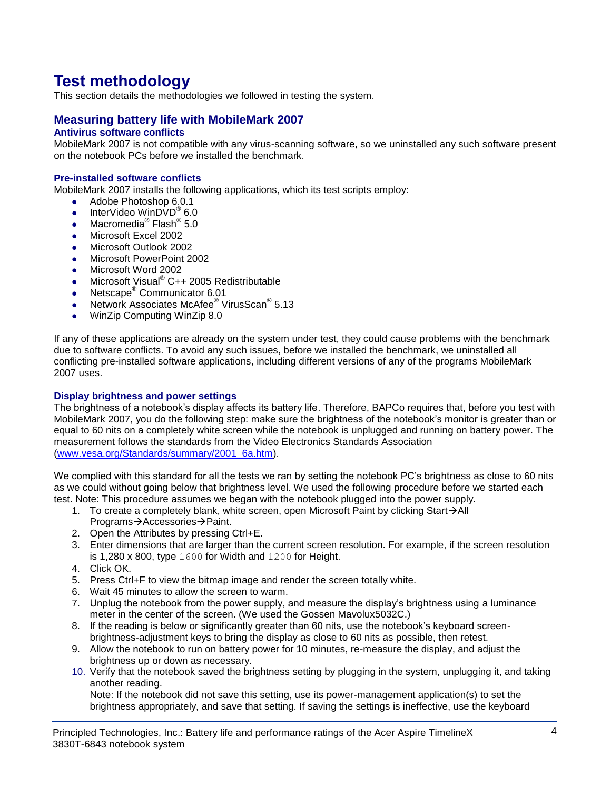# **Test methodology**

This section details the methodologies we followed in testing the system.

## **Measuring battery life with MobileMark 2007**

## **Antivirus software conflicts**

MobileMark 2007 is not compatible with any virus-scanning software, so we uninstalled any such software present on the notebook PCs before we installed the benchmark.

## **Pre-installed software conflicts**

MobileMark 2007 installs the following applications, which its test scripts employ:

- Adobe Photoshop 6.0.1
- InterVideo WinDVD<sup>®</sup> 6.0
- Macromedia® Flash® 5.0
- Microsoft Excel 2002
- Microsoft Outlook 2002
- **Microsoft PowerPoint 2002**
- Microsoft Word 2002
- Microsoft Visual<sup>®</sup> C++ 2005 Redistributable
- Netscape<sup>®</sup> Communicator 6.01
- Network Associates McAfee<sup>®</sup> VirusScan<sup>®</sup> 5.13
- WinZip Computing WinZip 8.0

If any of these applications are already on the system under test, they could cause problems with the benchmark due to software conflicts. To avoid any such issues, before we installed the benchmark, we uninstalled all conflicting pre-installed software applications, including different versions of any of the programs MobileMark 2007 uses.

#### **Display brightness and power settings**

The brightness of a notebook's display affects its battery life. Therefore, BAPCo requires that, before you test with MobileMark 2007, you do the following step: make sure the brightness of the notebook's monitor is greater than or equal to 60 nits on a completely white screen while the notebook is unplugged and running on battery power. The measurement follows the standards from the Video Electronics Standards Association [\(www.vesa.org/Standards/summary/2001\\_6a.htm\)](http://www.vesa.org/Standards/summary/2001_6a.htm).

We complied with this standard for all the tests we ran by setting the notebook PC's brightness as close to 60 nits as we could without going below that brightness level. We used the following procedure before we started each test. Note: This procedure assumes we began with the notebook plugged into the power supply.

- 1. To create a completely blank, white screen, open Microsoft Paint by clicking Start $\rightarrow$ All Programs→Accessories→Paint.
- 2. Open the Attributes by pressing Ctrl+E.
- 3. Enter dimensions that are larger than the current screen resolution. For example, if the screen resolution is 1,280 x 800, type 1600 for Width and 1200 for Height.
- 4. Click OK.
- 5. Press Ctrl+F to view the bitmap image and render the screen totally white.
- 6. Wait 45 minutes to allow the screen to warm.
- 7. Unplug the notebook from the power supply, and measure the display's brightness using a luminance meter in the center of the screen. (We used the Gossen Mavolux5032C.)
- 8. If the reading is below or significantly greater than 60 nits, use the notebook's keyboard screenbrightness-adjustment keys to bring the display as close to 60 nits as possible, then retest.
- 9. Allow the notebook to run on battery power for 10 minutes, re-measure the display, and adjust the brightness up or down as necessary.
- 10. Verify that the notebook saved the brightness setting by plugging in the system, unplugging it, and taking another reading.

Note: If the notebook did not save this setting, use its power-management application(s) to set the brightness appropriately, and save that setting. If saving the settings is ineffective, use the keyboard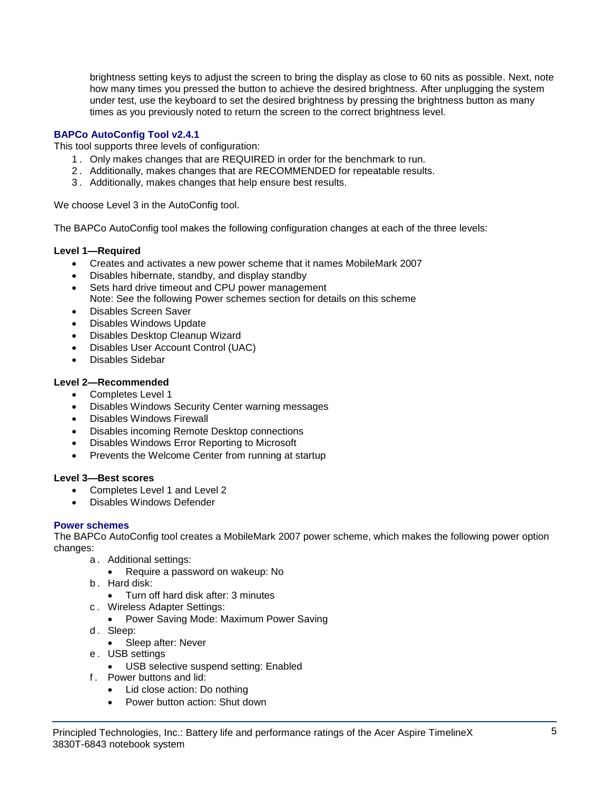brightness setting keys to adjust the screen to bring the display as close to 60 nits as possible. Next, note how many times you pressed the button to achieve the desired brightness. After unplugging the system under test, use the keyboard to set the desired brightness by pressing the brightness button as many times as you previously noted to return the screen to the correct brightness level.

## **BAPCo AutoConfig Tool v2.4.1**

This tool supports three levels of configuration:

- 1 . Only makes changes that are REQUIRED in order for the benchmark to run.
- 2 . Additionally, makes changes that are RECOMMENDED for repeatable results.
- 3 . Additionally, makes changes that help ensure best results.

We choose Level 3 in the AutoConfig tool.

The BAPCo AutoConfig tool makes the following configuration changes at each of the three levels:

## **Level 1—Required**

- Creates and activates a new power scheme that it names MobileMark 2007
- Disables hibernate, standby, and display standby
- Sets hard drive timeout and CPU power management Note: See the following Power schemes section for details on this scheme
- Disables Screen Saver
- Disables Windows Update
- Disables Desktop Cleanup Wizard
- Disables User Account Control (UAC)
- Disables Sidebar

## **Level 2—Recommended**

- Completes Level 1
- Disables Windows Security Center warning messages
- Disables Windows Firewall
- Disables incoming Remote Desktop connections
- Disables Windows Error Reporting to Microsoft
- Prevents the Welcome Center from running at startup

## **Level 3—Best scores**

- Completes Level 1 and Level 2
- Disables Windows Defender

## **Power schemes**

The BAPCo AutoConfig tool creates a MobileMark 2007 power scheme, which makes the following power option changes:

- a . Additional settings:
	- Require a password on wakeup: No
- b . Hard disk:
	- Turn off hard disk after: 3 minutes
- c . Wireless Adapter Settings:
	- Power Saving Mode: Maximum Power Saving
- d. Sleep:
	- Sleep after: Never
- e . USB settings
	- USB selective suspend setting: Enabled
- f . Power buttons and lid:
	- Lid close action: Do nothing
	- Power button action: Shut down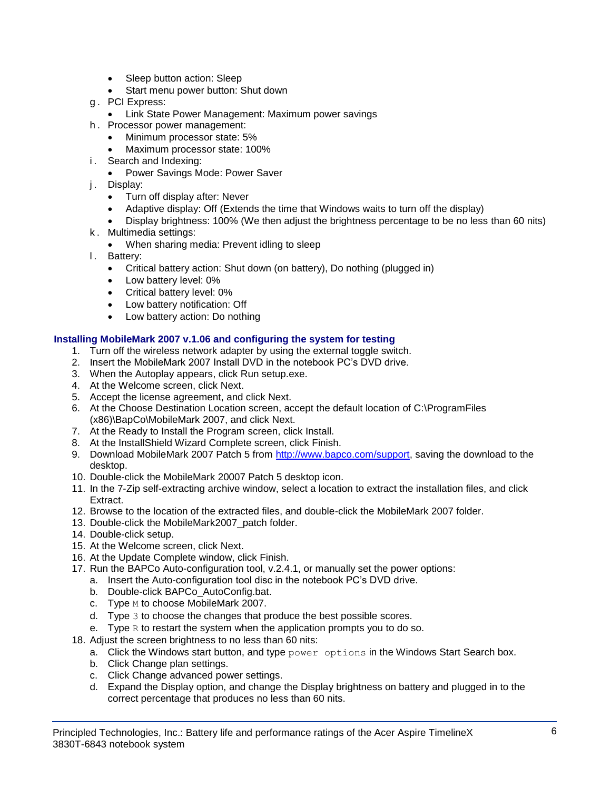- Sleep button action: Sleep
- Start menu power button: Shut down
- g . PCI Express:
	- **Link State Power Management: Maximum power savings**
- h . Processor power management:
	- Minimum processor state: 5%
	- Maximum processor state: 100%
- i. Search and Indexing:
	- Power Savings Mode: Power Saver
- j. Display:
	- Turn off display after: Never
	- Adaptive display: Off (Extends the time that Windows waits to turn off the display)
	- Display brightness: 100% (We then adjust the brightness percentage to be no less than 60 nits)
- k . Multimedia settings:
	- When sharing media: Prevent idling to sleep
- l. Battery:
	- Critical battery action: Shut down (on battery), Do nothing (plugged in)
	- Low battery level: 0%
	- Critical battery level: 0%
	- Low battery notification: Off
	- Low battery action: Do nothing

### **Installing MobileMark 2007 v.1.06 and configuring the system for testing**

- 1. Turn off the wireless network adapter by using the external toggle switch.
- 2. Insert the MobileMark 2007 Install DVD in the notebook PC's DVD drive.
- 3. When the Autoplay appears, click Run setup.exe.
- 4. At the Welcome screen, click Next.
- 5. Accept the license agreement, and click Next.
- 6. At the Choose Destination Location screen, accept the default location of C:\ProgramFiles (x86)\BapCo\MobileMark 2007, and click Next.
- 7. At the Ready to Install the Program screen, click Install.
- 8. At the InstallShield Wizard Complete screen, click Finish.
- 9. Download MobileMark 2007 Patch 5 from [http://www.bapco.com/support,](http://www.bapco.com/support) saving the download to the desktop.
- 10. Double-click the MobileMark 20007 Patch 5 desktop icon.
- 11. In the 7-Zip self-extracting archive window, select a location to extract the installation files, and click Extract.
- 12. Browse to the location of the extracted files, and double-click the MobileMark 2007 folder.
- 13. Double-click the MobileMark2007\_patch folder.
- 14. Double-click setup.
- 15. At the Welcome screen, click Next.
- 16. At the Update Complete window, click Finish.
- 17. Run the BAPCo Auto-configuration tool, v.2.4.1, or manually set the power options:
	- a. Insert the Auto-configuration tool disc in the notebook PC's DVD drive.
	- b. Double-click BAPCo\_AutoConfig.bat.
	- c. Type M to choose MobileMark 2007.
	- d. Type 3 to choose the changes that produce the best possible scores.
	- e. Type  $R$  to restart the system when the application prompts you to do so.
- 18. Adjust the screen brightness to no less than 60 nits:
	- a. Click the Windows start button, and type  $power$  options in the Windows Start Search box.
	- b. Click Change plan settings.
	- c. Click Change advanced power settings.
	- d. Expand the Display option, and change the Display brightness on battery and plugged in to the correct percentage that produces no less than 60 nits.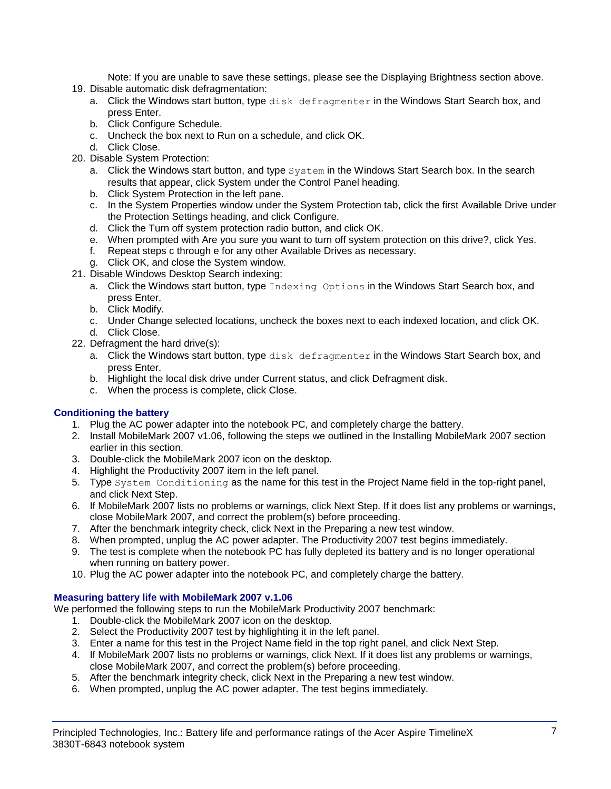Note: If you are unable to save these settings, please see the Displaying Brightness section above.

- 19. Disable automatic disk defragmentation:
	- a. Click the Windows start button, type disk defragmenter in the Windows Start Search box, and press Enter.
	- b. Click Configure Schedule.
	- c. Uncheck the box next to Run on a schedule, and click OK.
	- d. Click Close.
- 20. Disable System Protection:
	- a. Click the Windows start button, and type System in the Windows Start Search box. In the search results that appear, click System under the Control Panel heading.
	- b. Click System Protection in the left pane.
	- c. In the System Properties window under the System Protection tab, click the first Available Drive under the Protection Settings heading, and click Configure.
	- d. Click the Turn off system protection radio button, and click OK.
	- e. When prompted with Are you sure you want to turn off system protection on this drive?, click Yes.
	- f. Repeat steps c through e for any other Available Drives as necessary.
	- g. Click OK, and close the System window.
- 21. Disable Windows Desktop Search indexing:
	- a. Click the Windows start button, type Indexing Options in the Windows Start Search box, and press Enter.
	- b. Click Modify.
	- c. Under Change selected locations, uncheck the boxes next to each indexed location, and click OK. d. Click Close.
- 22. Defragment the hard drive(s):
	- a. Click the Windows start button, type disk defragmenter in the Windows Start Search box, and press Enter.
	- b. Highlight the local disk drive under Current status, and click Defragment disk.
	- c. When the process is complete, click Close.

## **Conditioning the battery**

- 1. Plug the AC power adapter into the notebook PC, and completely charge the battery.
- 2. Install MobileMark 2007 v1.06, following the steps we outlined in the Installing MobileMark 2007 section earlier in this section.
- 3. Double-click the MobileMark 2007 icon on the desktop.
- 4. Highlight the Productivity 2007 item in the left panel.
- 5. Type System Conditioning as the name for this test in the Project Name field in the top-right panel, and click Next Step.
- 6. If MobileMark 2007 lists no problems or warnings, click Next Step. If it does list any problems or warnings, close MobileMark 2007, and correct the problem(s) before proceeding.
- 7. After the benchmark integrity check, click Next in the Preparing a new test window.
- 8. When prompted, unplug the AC power adapter. The Productivity 2007 test begins immediately.
- 9. The test is complete when the notebook PC has fully depleted its battery and is no longer operational when running on battery power.
- 10. Plug the AC power adapter into the notebook PC, and completely charge the battery.

## **Measuring battery life with MobileMark 2007 v.1.06**

We performed the following steps to run the MobileMark Productivity 2007 benchmark:

- 1. Double-click the MobileMark 2007 icon on the desktop.
- 2. Select the Productivity 2007 test by highlighting it in the left panel.
- 3. Enter a name for this test in the Project Name field in the top right panel, and click Next Step.
- 4. If MobileMark 2007 lists no problems or warnings, click Next. If it does list any problems or warnings, close MobileMark 2007, and correct the problem(s) before proceeding.
- 5. After the benchmark integrity check, click Next in the Preparing a new test window.
- 6. When prompted, unplug the AC power adapter. The test begins immediately.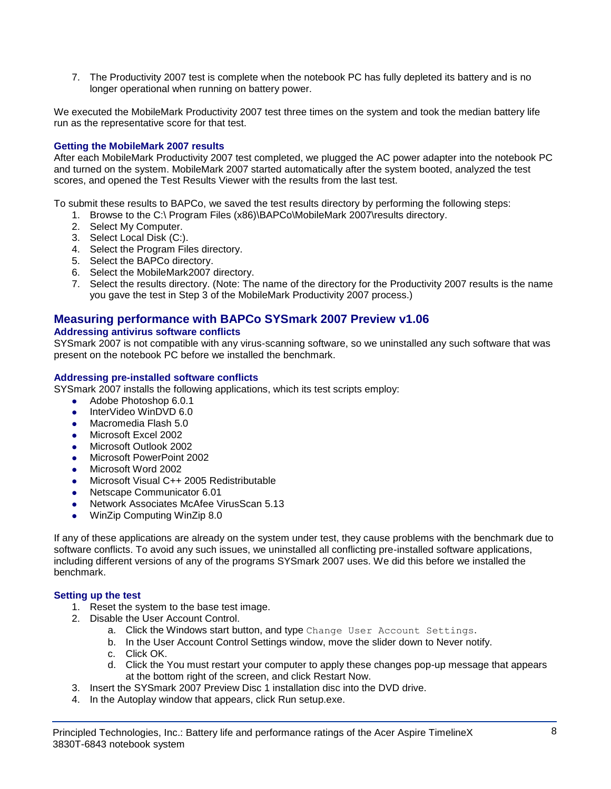7. The Productivity 2007 test is complete when the notebook PC has fully depleted its battery and is no longer operational when running on battery power.

We executed the MobileMark Productivity 2007 test three times on the system and took the median battery life run as the representative score for that test.

## **Getting the MobileMark 2007 results**

After each MobileMark Productivity 2007 test completed, we plugged the AC power adapter into the notebook PC and turned on the system. MobileMark 2007 started automatically after the system booted, analyzed the test scores, and opened the Test Results Viewer with the results from the last test.

To submit these results to BAPCo, we saved the test results directory by performing the following steps:

- 1. Browse to the C:\ Program Files (x86)\BAPCo\MobileMark 2007\results directory.
- 2. Select My Computer.
- 3. Select Local Disk (C:).
- 4. Select the Program Files directory.
- 5. Select the BAPCo directory.
- 6. Select the MobileMark2007 directory.
- 7. Select the results directory. (Note: The name of the directory for the Productivity 2007 results is the name you gave the test in Step 3 of the MobileMark Productivity 2007 process.)

## **Measuring performance with BAPCo SYSmark 2007 Preview v1.06**

### **Addressing antivirus software conflicts**

SYSmark 2007 is not compatible with any virus-scanning software, so we uninstalled any such software that was present on the notebook PC before we installed the benchmark.

### **Addressing pre-installed software conflicts**

SYSmark 2007 installs the following applications, which its test scripts employ:

- Adobe Photoshop 6.0.1
- InterVideo WinDVD 6.0
- Macromedia Flash 5.0
- Microsoft Excel 2002
- Microsoft Outlook 2002
- Microsoft PowerPoint 2002
- Microsoft Word 2002
- Microsoft Visual C++ 2005 Redistributable
- Netscape Communicator 6.01
- Network Associates McAfee VirusScan 5.13
- WinZip Computing WinZip 8.0

If any of these applications are already on the system under test, they cause problems with the benchmark due to software conflicts. To avoid any such issues, we uninstalled all conflicting pre-installed software applications, including different versions of any of the programs SYSmark 2007 uses. We did this before we installed the benchmark.

#### **Setting up the test**

- 1. Reset the system to the base test image.
- 2. Disable the User Account Control.
	- a. Click the Windows start button, and type Change User Account Settings.
	- b. In the User Account Control Settings window, move the slider down to Never notify.
	- c. Click OK.
	- d. Click the You must restart your computer to apply these changes pop-up message that appears at the bottom right of the screen, and click Restart Now.
- 3. Insert the SYSmark 2007 Preview Disc 1 installation disc into the DVD drive.
- 4. In the Autoplay window that appears, click Run setup.exe.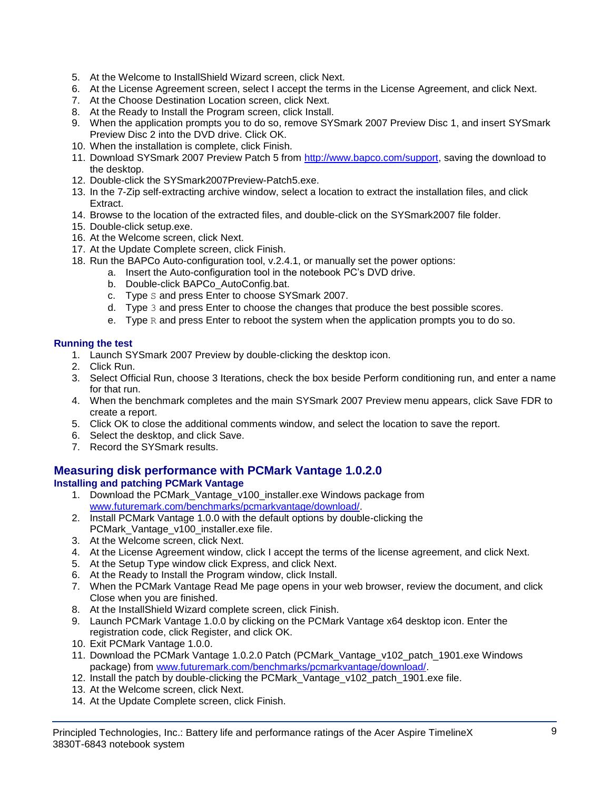- 5. At the Welcome to InstallShield Wizard screen, click Next.
- 6. At the License Agreement screen, select I accept the terms in the License Agreement, and click Next.
- 7. At the Choose Destination Location screen, click Next.
- 8. At the Ready to Install the Program screen, click Install.
- 9. When the application prompts you to do so, remove SYSmark 2007 Preview Disc 1, and insert SYSmark Preview Disc 2 into the DVD drive. Click OK.
- 10. When the installation is complete, click Finish.
- 11. Download SYSmark 2007 Preview Patch 5 from [http://www.bapco.com/support,](http://www.bapco.com/support) saving the download to the desktop.
- 12. Double-click the SYSmark2007Preview-Patch5.exe.
- 13. In the 7-Zip self-extracting archive window, select a location to extract the installation files, and click Extract.
- 14. Browse to the location of the extracted files, and double-click on the SYSmark2007 file folder.
- 15. Double-click setup.exe.
- 16. At the Welcome screen, click Next.
- 17. At the Update Complete screen, click Finish.
- 18. Run the BAPCo Auto-configuration tool, v.2.4.1, or manually set the power options:
	- a. Insert the Auto-configuration tool in the notebook PC's DVD drive.
		- b. Double-click BAPCo\_AutoConfig.bat.
		- c. Type S and press Enter to choose SYSmark 2007.
		- d. Type 3 and press Enter to choose the changes that produce the best possible scores.
		- e. Type  $R$  and press Enter to reboot the system when the application prompts you to do so.

## **Running the test**

- 1. Launch SYSmark 2007 Preview by double-clicking the desktop icon.
- 2. Click Run.
- 3. Select Official Run, choose 3 Iterations, check the box beside Perform conditioning run, and enter a name for that run.
- 4. When the benchmark completes and the main SYSmark 2007 Preview menu appears, click Save FDR to create a report.
- 5. Click OK to close the additional comments window, and select the location to save the report.
- 6. Select the desktop, and click Save.
- 7. Record the SYSmark results.

## **Measuring disk performance with PCMark Vantage 1.0.2.0**

## **Installing and patching PCMark Vantage**

- 1. Download the PCMark\_Vantage\_v100\_installer.exe Windows package from [www.futuremark.com/benchmarks/pcmarkvantage/download/.](http://www.futuremark.com/benchmarks/pcmarkvantage/download/)
- 2. Install PCMark Vantage 1.0.0 with the default options by double-clicking the PCMark\_Vantage\_v100\_installer.exe file.
- 3. At the Welcome screen, click Next.
- 4. At the License Agreement window, click I accept the terms of the license agreement, and click Next.
- 5. At the Setup Type window click Express, and click Next.
- 6. At the Ready to Install the Program window, click Install.
- 7. When the PCMark Vantage Read Me page opens in your web browser, review the document, and click Close when you are finished.
- 8. At the InstallShield Wizard complete screen, click Finish.
- 9. Launch PCMark Vantage 1.0.0 by clicking on the PCMark Vantage x64 desktop icon. Enter the registration code, click Register, and click OK.
- 10. Exit PCMark Vantage 1.0.0.
- 11. Download the PCMark Vantage 1.0.2.0 Patch (PCMark\_Vantage\_v102\_patch\_1901.exe Windows package) from [www.futuremark.com/benchmarks/pcmarkvantage/download/.](http://www.futuremark.com/benchmarks/pcmarkvantage/download/)
- 12. Install the patch by double-clicking the PCMark\_Vantage\_v102\_patch\_1901.exe file.
- 13. At the Welcome screen, click Next.
- 14. At the Update Complete screen, click Finish.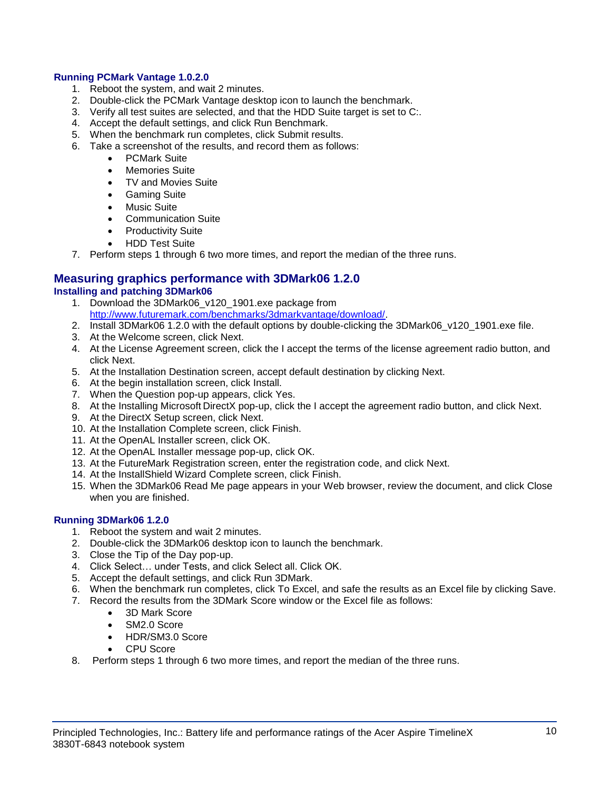### **Running PCMark Vantage 1.0.2.0**

- 1. Reboot the system, and wait 2 minutes.
- 2. Double-click the PCMark Vantage desktop icon to launch the benchmark.
- 3. Verify all test suites are selected, and that the HDD Suite target is set to C:.
- 4. Accept the default settings, and click Run Benchmark.
- 5. When the benchmark run completes, click Submit results.
- 6. Take a screenshot of the results, and record them as follows:
	- PCMark Suite
	- Memories Suite
	- TV and Movies Suite
	- **•** Gaming Suite
	- Music Suite
	- Communication Suite
	- Productivity Suite
	- HDD Test Suite
- 7. Perform steps 1 through 6 two more times, and report the median of the three runs.

### **Measuring graphics performance with 3DMark06 1.2.0 Installing and patching 3DMark06**

- 1. Download the 3DMark06 v120 1901.exe package from [http://www.futuremark.com/benchmarks/3dmarkvantage/download/.](http://www.futuremark.com/benchmarks/3dmarkvantage/download/)
- 2. Install 3DMark06 1.2.0 with the default options by double-clicking the 3DMark06\_v120\_1901.exe file.
- 3. At the Welcome screen, click Next.
- 4. At the License Agreement screen, click the I accept the terms of the license agreement radio button, and click Next.
- 5. At the Installation Destination screen, accept default destination by clicking Next.
- 6. At the begin installation screen, click Install.
- 7. When the Question pop-up appears, click Yes.
- 8. At the Installing Microsoft DirectX pop-up, click the I accept the agreement radio button, and click Next.
- 9. At the DirectX Setup screen, click Next.
- 10. At the Installation Complete screen, click Finish.
- 11. At the OpenAL Installer screen, click OK.
- 12. At the OpenAL Installer message pop-up, click OK.
- 13. At the FutureMark Registration screen, enter the registration code, and click Next.
- 14. At the InstallShield Wizard Complete screen, click Finish.
- 15. When the 3DMark06 Read Me page appears in your Web browser, review the document, and click Close when you are finished.

## **Running 3DMark06 1.2.0**

- 1. Reboot the system and wait 2 minutes.
- 2. Double-click the 3DMark06 desktop icon to launch the benchmark.
- 3. Close the Tip of the Day pop-up.
- 4. Click Select… under Tests, and click Select all. Click OK.
- 5. Accept the default settings, and click Run 3DMark.
- 6. When the benchmark run completes, click To Excel, and safe the results as an Excel file by clicking Save.
- 7. Record the results from the 3DMark Score window or the Excel file as follows:
	- 3D Mark Score
	- SM2.0 Score
	- HDR/SM3.0 Score
	- CPU Score
- 8. Perform steps 1 through 6 two more times, and report the median of the three runs.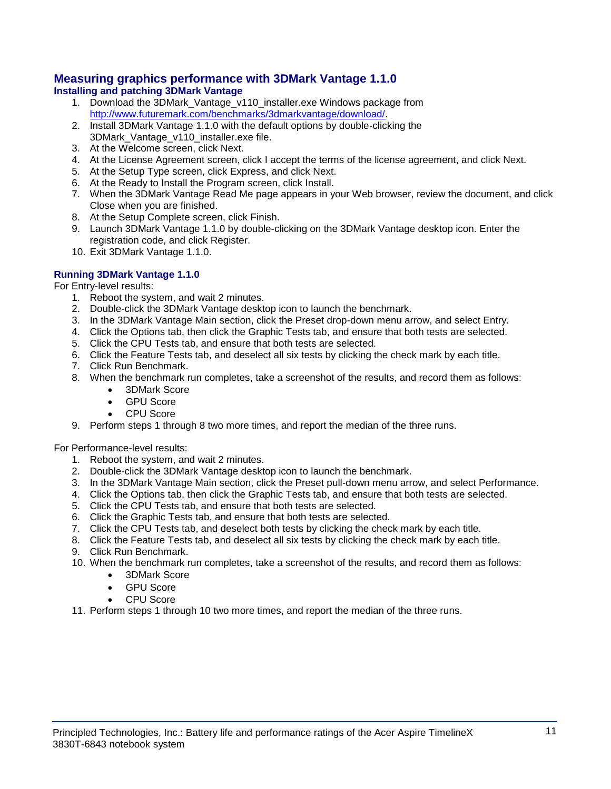### **Measuring graphics performance with 3DMark Vantage 1.1.0 Installing and patching 3DMark Vantage**

- 1. Download the 3DMark\_Vantage\_v110\_installer.exe Windows package from [http://www.futuremark.com/benchmarks/3dmarkvantage/download/.](http://www.futuremark.com/benchmarks/3dmarkvantage/download/)
- 2. Install 3DMark Vantage 1.1.0 with the default options by double-clicking the 3DMark\_Vantage\_v110\_installer.exe file.
- 3. At the Welcome screen, click Next.
- 4. At the License Agreement screen, click I accept the terms of the license agreement, and click Next.
- 5. At the Setup Type screen, click Express, and click Next.
- 6. At the Ready to Install the Program screen, click Install.
- 7. When the 3DMark Vantage Read Me page appears in your Web browser, review the document, and click Close when you are finished.
- 8. At the Setup Complete screen, click Finish.
- 9. Launch 3DMark Vantage 1.1.0 by double-clicking on the 3DMark Vantage desktop icon. Enter the registration code, and click Register.
- 10. Exit 3DMark Vantage 1.1.0.

## **Running 3DMark Vantage 1.1.0**

For Entry-level results:

- 1. Reboot the system, and wait 2 minutes.
- 2. Double-click the 3DMark Vantage desktop icon to launch the benchmark.
- 3. In the 3DMark Vantage Main section, click the Preset drop-down menu arrow, and select Entry.
- 4. Click the Options tab, then click the Graphic Tests tab, and ensure that both tests are selected.
- 5. Click the CPU Tests tab, and ensure that both tests are selected.
- 6. Click the Feature Tests tab, and deselect all six tests by clicking the check mark by each title.
- 7. Click Run Benchmark.
- 8. When the benchmark run completes, take a screenshot of the results, and record them as follows:
	- 3DMark Score
		- GPU Score
		- CPU Score
- 9. Perform steps 1 through 8 two more times, and report the median of the three runs.

For Performance-level results:

- 1. Reboot the system, and wait 2 minutes.
- 2. Double-click the 3DMark Vantage desktop icon to launch the benchmark.
- 3. In the 3DMark Vantage Main section, click the Preset pull-down menu arrow, and select Performance.
- 4. Click the Options tab, then click the Graphic Tests tab, and ensure that both tests are selected.
- 5. Click the CPU Tests tab, and ensure that both tests are selected.
- 6. Click the Graphic Tests tab, and ensure that both tests are selected.
- 7. Click the CPU Tests tab, and deselect both tests by clicking the check mark by each title.
- 8. Click the Feature Tests tab, and deselect all six tests by clicking the check mark by each title.
- 9. Click Run Benchmark.
- 10. When the benchmark run completes, take a screenshot of the results, and record them as follows:
	- 3DMark Score
	- GPU Score
	- CPU Score
- 11. Perform steps 1 through 10 two more times, and report the median of the three runs.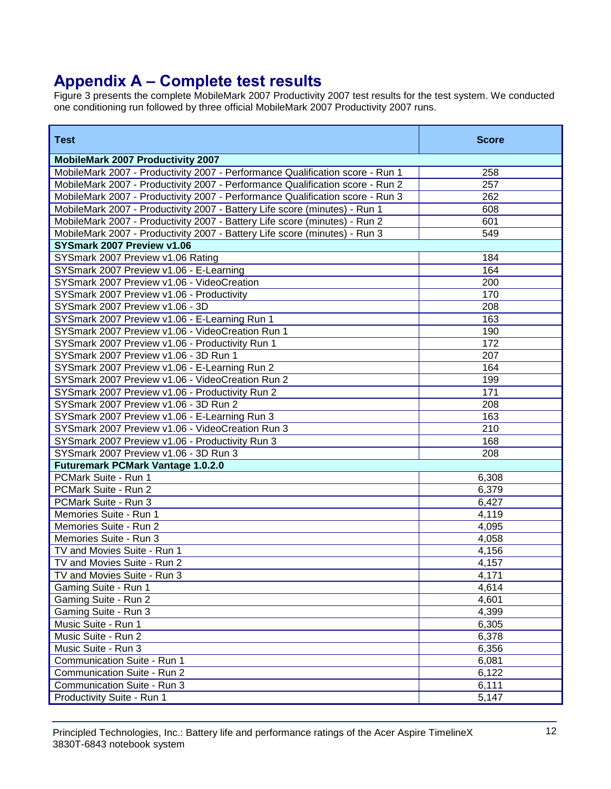# **Appendix A – Complete test results**

Figure 3 presents the complete MobileMark 2007 Productivity 2007 test results for the test system. We conducted one conditioning run followed by three official MobileMark 2007 Productivity 2007 runs.

| <b>Test</b>                                                                   | <b>Score</b> |
|-------------------------------------------------------------------------------|--------------|
| <b>MobileMark 2007 Productivity 2007</b>                                      |              |
| MobileMark 2007 - Productivity 2007 - Performance Qualification score - Run 1 | 258          |
| MobileMark 2007 - Productivity 2007 - Performance Qualification score - Run 2 | 257          |
| MobileMark 2007 - Productivity 2007 - Performance Qualification score - Run 3 | 262          |
| MobileMark 2007 - Productivity 2007 - Battery Life score (minutes) - Run 1    | 608          |
| MobileMark 2007 - Productivity 2007 - Battery Life score (minutes) - Run 2    | 601          |
| MobileMark 2007 - Productivity 2007 - Battery Life score (minutes) - Run 3    | 549          |
| SYSmark 2007 Preview v1.06                                                    |              |
| SYSmark 2007 Preview v1.06 Rating                                             | 184          |
| SYSmark 2007 Preview v1.06 - E-Learning                                       | 164          |
| SYSmark 2007 Preview v1.06 - VideoCreation                                    | 200          |
| SYSmark 2007 Preview v1.06 - Productivity                                     | 170          |
| SYSmark 2007 Preview v1.06 - 3D                                               | 208          |
| SYSmark 2007 Preview v1.06 - E-Learning Run 1                                 | 163          |
| SYSmark 2007 Preview v1.06 - VideoCreation Run 1                              | 190          |
| SYSmark 2007 Preview v1.06 - Productivity Run 1                               | 172          |
| SYSmark 2007 Preview v1.06 - 3D Run 1                                         | 207          |
| SYSmark 2007 Preview v1.06 - E-Learning Run 2                                 | 164          |
| SYSmark 2007 Preview v1.06 - VideoCreation Run 2                              | 199          |
| SYSmark 2007 Preview v1.06 - Productivity Run 2                               | 171          |
| SYSmark 2007 Preview v1.06 - 3D Run 2                                         | 208          |
| SYSmark 2007 Preview v1.06 - E-Learning Run 3                                 | 163          |
| SYSmark 2007 Preview v1.06 - VideoCreation Run 3                              | 210          |
| SYSmark 2007 Preview v1.06 - Productivity Run 3                               | 168          |
| SYSmark 2007 Preview v1.06 - 3D Run 3                                         | 208          |
| <b>Futuremark PCMark Vantage 1.0.2.0</b>                                      |              |
| PCMark Suite - Run 1                                                          | 6,308        |
| PCMark Suite - Run 2                                                          | 6,379        |
| PCMark Suite - Run 3                                                          | 6,427        |
| Memories Suite - Run 1                                                        | 4,119        |
| Memories Suite - Run 2                                                        | 4,095        |
| Memories Suite - Run 3                                                        | 4,058        |
| TV and Movies Suite - Run 1                                                   | 4,156        |
| TV and Movies Suite - Run 2                                                   | 4,157        |
| TV and Movies Suite - Run 3                                                   | 4,171        |
| Gaming Suite - Run 1                                                          | 4,614        |
| Gaming Suite - Run 2                                                          | 4,601        |
| Gaming Suite - Run 3                                                          | 4,399        |
| Music Suite - Run 1                                                           | 6,305        |
| Music Suite - Run 2                                                           | 6,378        |
| Music Suite - Run 3                                                           | 6,356        |
| Communication Suite - Run 1                                                   | 6,081        |
| Communication Suite - Run 2                                                   | 6,122        |
| Communication Suite - Run 3                                                   | 6,111        |
| Productivity Suite - Run 1                                                    | 5,147        |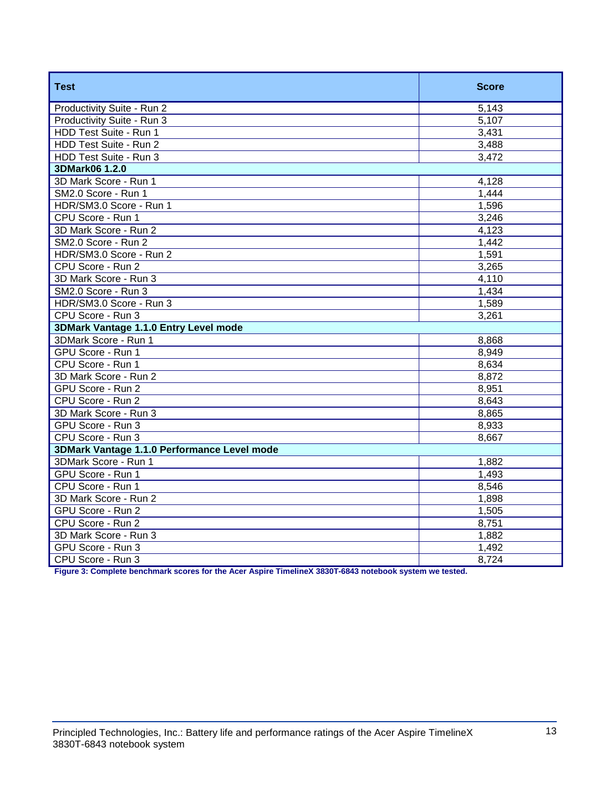| <b>Test</b>                                 | <b>Score</b> |
|---------------------------------------------|--------------|
| Productivity Suite - Run 2                  | 5,143        |
| Productivity Suite - Run 3                  | 5,107        |
| HDD Test Suite - Run 1                      | 3,431        |
| HDD Test Suite - Run 2                      | 3,488        |
| HDD Test Suite - Run 3                      | 3,472        |
| 3DMark06 1.2.0                              |              |
| 3D Mark Score - Run 1                       | 4,128        |
| SM2.0 Score - Run 1                         | 1,444        |
| HDR/SM3.0 Score - Run 1                     | 1,596        |
| CPU Score - Run 1                           | 3,246        |
| 3D Mark Score - Run 2                       | 4,123        |
| SM2.0 Score - Run 2                         | 1,442        |
| HDR/SM3.0 Score - Run 2                     | 1,591        |
| CPU Score - Run 2                           | 3,265        |
| 3D Mark Score - Run 3                       | 4,110        |
| SM2.0 Score - Run 3                         | 1,434        |
| HDR/SM3.0 Score - Run 3                     | 1,589        |
| CPU Score - Run 3                           | 3,261        |
| 3DMark Vantage 1.1.0 Entry Level mode       |              |
| 3DMark Score - Run 1                        | 8,868        |
| GPU Score - Run 1                           | 8,949        |
| CPU Score - Run 1                           | 8,634        |
| 3D Mark Score - Run 2                       | 8,872        |
| GPU Score - Run 2                           | 8,951        |
| CPU Score - Run 2                           | 8,643        |
| 3D Mark Score - Run 3                       | 8,865        |
| GPU Score - Run 3                           | 8,933        |
| CPU Score - Run 3                           | 8,667        |
| 3DMark Vantage 1.1.0 Performance Level mode |              |
| 3DMark Score - Run 1                        | 1,882        |
| GPU Score - Run 1                           | 1,493        |
| CPU Score - Run 1                           | 8,546        |
| 3D Mark Score - Run 2                       | 1,898        |
| GPU Score - Run 2                           | 1,505        |
| CPU Score - Run 2                           | 8,751        |
| 3D Mark Score - Run 3                       | 1,882        |
| GPU Score - Run 3                           | 1,492        |
| CPU Score - Run 3                           | 8,724        |

**Figure 3: Complete benchmark scores for the Acer Aspire TimelineX 3830T-6843 notebook system we tested.**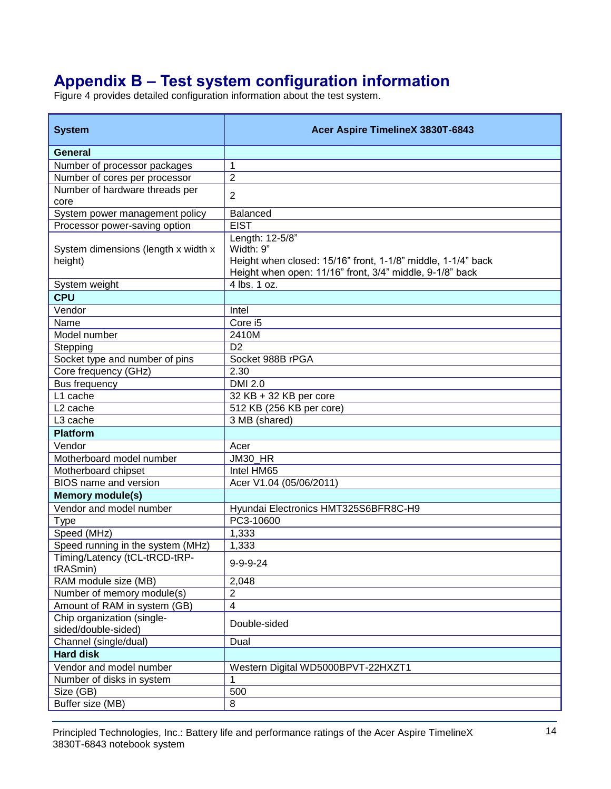# **Appendix B – Test system configuration information**

Figure 4 provides detailed configuration information about the test system.

| <b>System</b>                                     | Acer Aspire TimelineX 3830T-6843                             |
|---------------------------------------------------|--------------------------------------------------------------|
| General                                           |                                                              |
| Number of processor packages                      | $\mathbf 1$                                                  |
| Number of cores per processor                     | $\overline{2}$                                               |
| Number of hardware threads per                    | $\overline{2}$                                               |
| core                                              |                                                              |
| System power management policy                    | <b>Balanced</b>                                              |
| Processor power-saving option                     | <b>EIST</b>                                                  |
| System dimensions (length x width x               | Length: 12-5/8"<br>Width: 9"                                 |
| height)                                           | Height when closed: 15/16" front, 1-1/8" middle, 1-1/4" back |
|                                                   | Height when open: 11/16" front, 3/4" middle, 9-1/8" back     |
| System weight                                     | 4 lbs. 1 oz.                                                 |
| <b>CPU</b>                                        |                                                              |
| Vendor                                            | Intel                                                        |
| Name                                              | Core i5                                                      |
| Model number                                      | 2410M                                                        |
| Stepping                                          | D <sub>2</sub>                                               |
| Socket type and number of pins                    | Socket 988B rPGA                                             |
| Core frequency (GHz)                              | 2.30                                                         |
| <b>Bus frequency</b>                              | <b>DMI 2.0</b>                                               |
| L1 cache                                          | 32 KB + 32 KB per core                                       |
| L <sub>2</sub> cache                              | 512 KB (256 KB per core)                                     |
| L3 cache                                          | 3 MB (shared)                                                |
| <b>Platform</b>                                   |                                                              |
| Vendor                                            | Acer                                                         |
| Motherboard model number                          | JM30_HR                                                      |
| Motherboard chipset                               | Intel HM65                                                   |
| BIOS name and version                             | Acer V1.04 (05/06/2011)                                      |
| <b>Memory module(s)</b>                           |                                                              |
| Vendor and model number                           | Hyundai Electronics HMT325S6BFR8C-H9                         |
| <b>Type</b>                                       | PC3-10600                                                    |
| Speed (MHz)                                       | 1,333                                                        |
| Speed running in the system (MHz)                 | 1,333                                                        |
| Timing/Latency (tCL-tRCD-tRP-<br>tRASmin)         | 9-9-9-24                                                     |
| RAM module size (MB)                              | 2,048                                                        |
| Number of memory module(s)                        | $\overline{2}$                                               |
| Amount of RAM in system (GB)                      | $\overline{4}$                                               |
| Chip organization (single-<br>sided/double-sided) | Double-sided                                                 |
| Channel (single/dual)                             | Dual                                                         |
| <b>Hard disk</b>                                  |                                                              |
| Vendor and model number                           | Western Digital WD5000BPVT-22HXZT1                           |
| Number of disks in system                         | 1                                                            |
| Size (GB)                                         | 500                                                          |
| Buffer size (MB)                                  | 8                                                            |
|                                                   |                                                              |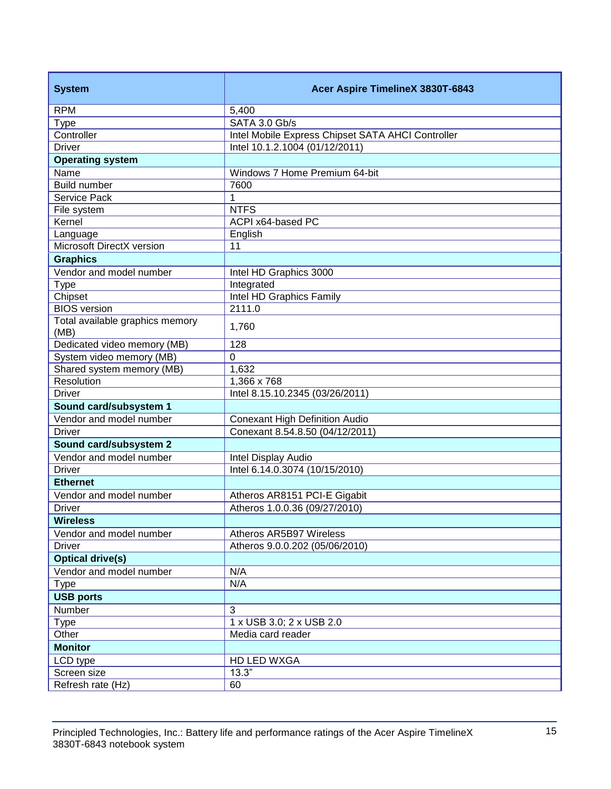| <b>RPM</b><br>5,400<br>SATA 3.0 Gb/s<br>Type<br>Controller<br>Intel Mobile Express Chipset SATA AHCI Controller<br><b>Driver</b><br>Intel 10.1.2.1004 (01/12/2011)<br><b>Operating system</b><br>Name<br>Windows 7 Home Premium 64-bit<br><b>Build number</b><br>7600<br>1<br>Service Pack<br><b>NTFS</b><br>File system<br>ACPI x64-based PC<br>Kernel<br>English<br>Language<br>Microsoft DirectX version<br>11<br><b>Graphics</b><br>Vendor and model number<br>Intel HD Graphics 3000<br>Integrated<br>Type<br>Intel HD Graphics Family<br>Chipset<br><b>BIOS</b> version<br>2111.0<br>Total available graphics memory<br>1,760<br>(MB)<br>Dedicated video memory (MB)<br>128<br>System video memory (MB)<br>$\Omega$<br>Shared system memory (MB)<br>1,632<br>Resolution<br>1,366 x 768<br><b>Driver</b><br>Intel 8.15.10.2345 (03/26/2011)<br>Sound card/subsystem 1<br><b>Conexant High Definition Audio</b><br>Vendor and model number<br>Conexant 8.54.8.50 (04/12/2011)<br><b>Driver</b><br>Sound card/subsystem 2<br>Vendor and model number<br>Intel Display Audio<br><b>Driver</b><br>Intel 6.14.0.3074 (10/15/2010)<br><b>Ethernet</b><br>Vendor and model number<br>Atheros AR8151 PCI-E Gigabit<br>Atheros 1.0.0.36 (09/27/2010)<br><b>Driver</b><br><b>Wireless</b><br>Vendor and model number<br>Atheros AR5B97 Wireless<br><b>Driver</b><br>Atheros 9.0.0.202 (05/06/2010)<br><b>Optical drive(s)</b><br>Vendor and model number<br>N/A<br>N/A<br><b>Type</b><br><b>USB ports</b><br>$\overline{3}$<br>Number<br>1 x USB 3.0; 2 x USB 2.0<br><b>Type</b><br>Other<br>Media card reader<br><b>Monitor</b> | <b>System</b> | Acer Aspire TimelineX 3830T-6843 |
|-----------------------------------------------------------------------------------------------------------------------------------------------------------------------------------------------------------------------------------------------------------------------------------------------------------------------------------------------------------------------------------------------------------------------------------------------------------------------------------------------------------------------------------------------------------------------------------------------------------------------------------------------------------------------------------------------------------------------------------------------------------------------------------------------------------------------------------------------------------------------------------------------------------------------------------------------------------------------------------------------------------------------------------------------------------------------------------------------------------------------------------------------------------------------------------------------------------------------------------------------------------------------------------------------------------------------------------------------------------------------------------------------------------------------------------------------------------------------------------------------------------------------------------------------------------------------------------------------------------------------------|---------------|----------------------------------|
|                                                                                                                                                                                                                                                                                                                                                                                                                                                                                                                                                                                                                                                                                                                                                                                                                                                                                                                                                                                                                                                                                                                                                                                                                                                                                                                                                                                                                                                                                                                                                                                                                             |               |                                  |
|                                                                                                                                                                                                                                                                                                                                                                                                                                                                                                                                                                                                                                                                                                                                                                                                                                                                                                                                                                                                                                                                                                                                                                                                                                                                                                                                                                                                                                                                                                                                                                                                                             |               |                                  |
|                                                                                                                                                                                                                                                                                                                                                                                                                                                                                                                                                                                                                                                                                                                                                                                                                                                                                                                                                                                                                                                                                                                                                                                                                                                                                                                                                                                                                                                                                                                                                                                                                             |               |                                  |
|                                                                                                                                                                                                                                                                                                                                                                                                                                                                                                                                                                                                                                                                                                                                                                                                                                                                                                                                                                                                                                                                                                                                                                                                                                                                                                                                                                                                                                                                                                                                                                                                                             |               |                                  |
|                                                                                                                                                                                                                                                                                                                                                                                                                                                                                                                                                                                                                                                                                                                                                                                                                                                                                                                                                                                                                                                                                                                                                                                                                                                                                                                                                                                                                                                                                                                                                                                                                             |               |                                  |
|                                                                                                                                                                                                                                                                                                                                                                                                                                                                                                                                                                                                                                                                                                                                                                                                                                                                                                                                                                                                                                                                                                                                                                                                                                                                                                                                                                                                                                                                                                                                                                                                                             |               |                                  |
|                                                                                                                                                                                                                                                                                                                                                                                                                                                                                                                                                                                                                                                                                                                                                                                                                                                                                                                                                                                                                                                                                                                                                                                                                                                                                                                                                                                                                                                                                                                                                                                                                             |               |                                  |
|                                                                                                                                                                                                                                                                                                                                                                                                                                                                                                                                                                                                                                                                                                                                                                                                                                                                                                                                                                                                                                                                                                                                                                                                                                                                                                                                                                                                                                                                                                                                                                                                                             |               |                                  |
|                                                                                                                                                                                                                                                                                                                                                                                                                                                                                                                                                                                                                                                                                                                                                                                                                                                                                                                                                                                                                                                                                                                                                                                                                                                                                                                                                                                                                                                                                                                                                                                                                             |               |                                  |
|                                                                                                                                                                                                                                                                                                                                                                                                                                                                                                                                                                                                                                                                                                                                                                                                                                                                                                                                                                                                                                                                                                                                                                                                                                                                                                                                                                                                                                                                                                                                                                                                                             |               |                                  |
|                                                                                                                                                                                                                                                                                                                                                                                                                                                                                                                                                                                                                                                                                                                                                                                                                                                                                                                                                                                                                                                                                                                                                                                                                                                                                                                                                                                                                                                                                                                                                                                                                             |               |                                  |
|                                                                                                                                                                                                                                                                                                                                                                                                                                                                                                                                                                                                                                                                                                                                                                                                                                                                                                                                                                                                                                                                                                                                                                                                                                                                                                                                                                                                                                                                                                                                                                                                                             |               |                                  |
|                                                                                                                                                                                                                                                                                                                                                                                                                                                                                                                                                                                                                                                                                                                                                                                                                                                                                                                                                                                                                                                                                                                                                                                                                                                                                                                                                                                                                                                                                                                                                                                                                             |               |                                  |
|                                                                                                                                                                                                                                                                                                                                                                                                                                                                                                                                                                                                                                                                                                                                                                                                                                                                                                                                                                                                                                                                                                                                                                                                                                                                                                                                                                                                                                                                                                                                                                                                                             |               |                                  |
|                                                                                                                                                                                                                                                                                                                                                                                                                                                                                                                                                                                                                                                                                                                                                                                                                                                                                                                                                                                                                                                                                                                                                                                                                                                                                                                                                                                                                                                                                                                                                                                                                             |               |                                  |
|                                                                                                                                                                                                                                                                                                                                                                                                                                                                                                                                                                                                                                                                                                                                                                                                                                                                                                                                                                                                                                                                                                                                                                                                                                                                                                                                                                                                                                                                                                                                                                                                                             |               |                                  |
|                                                                                                                                                                                                                                                                                                                                                                                                                                                                                                                                                                                                                                                                                                                                                                                                                                                                                                                                                                                                                                                                                                                                                                                                                                                                                                                                                                                                                                                                                                                                                                                                                             |               |                                  |
|                                                                                                                                                                                                                                                                                                                                                                                                                                                                                                                                                                                                                                                                                                                                                                                                                                                                                                                                                                                                                                                                                                                                                                                                                                                                                                                                                                                                                                                                                                                                                                                                                             |               |                                  |
|                                                                                                                                                                                                                                                                                                                                                                                                                                                                                                                                                                                                                                                                                                                                                                                                                                                                                                                                                                                                                                                                                                                                                                                                                                                                                                                                                                                                                                                                                                                                                                                                                             |               |                                  |
|                                                                                                                                                                                                                                                                                                                                                                                                                                                                                                                                                                                                                                                                                                                                                                                                                                                                                                                                                                                                                                                                                                                                                                                                                                                                                                                                                                                                                                                                                                                                                                                                                             |               |                                  |
|                                                                                                                                                                                                                                                                                                                                                                                                                                                                                                                                                                                                                                                                                                                                                                                                                                                                                                                                                                                                                                                                                                                                                                                                                                                                                                                                                                                                                                                                                                                                                                                                                             |               |                                  |
|                                                                                                                                                                                                                                                                                                                                                                                                                                                                                                                                                                                                                                                                                                                                                                                                                                                                                                                                                                                                                                                                                                                                                                                                                                                                                                                                                                                                                                                                                                                                                                                                                             |               |                                  |
|                                                                                                                                                                                                                                                                                                                                                                                                                                                                                                                                                                                                                                                                                                                                                                                                                                                                                                                                                                                                                                                                                                                                                                                                                                                                                                                                                                                                                                                                                                                                                                                                                             |               |                                  |
|                                                                                                                                                                                                                                                                                                                                                                                                                                                                                                                                                                                                                                                                                                                                                                                                                                                                                                                                                                                                                                                                                                                                                                                                                                                                                                                                                                                                                                                                                                                                                                                                                             |               |                                  |
|                                                                                                                                                                                                                                                                                                                                                                                                                                                                                                                                                                                                                                                                                                                                                                                                                                                                                                                                                                                                                                                                                                                                                                                                                                                                                                                                                                                                                                                                                                                                                                                                                             |               |                                  |
|                                                                                                                                                                                                                                                                                                                                                                                                                                                                                                                                                                                                                                                                                                                                                                                                                                                                                                                                                                                                                                                                                                                                                                                                                                                                                                                                                                                                                                                                                                                                                                                                                             |               |                                  |
|                                                                                                                                                                                                                                                                                                                                                                                                                                                                                                                                                                                                                                                                                                                                                                                                                                                                                                                                                                                                                                                                                                                                                                                                                                                                                                                                                                                                                                                                                                                                                                                                                             |               |                                  |
|                                                                                                                                                                                                                                                                                                                                                                                                                                                                                                                                                                                                                                                                                                                                                                                                                                                                                                                                                                                                                                                                                                                                                                                                                                                                                                                                                                                                                                                                                                                                                                                                                             |               |                                  |
|                                                                                                                                                                                                                                                                                                                                                                                                                                                                                                                                                                                                                                                                                                                                                                                                                                                                                                                                                                                                                                                                                                                                                                                                                                                                                                                                                                                                                                                                                                                                                                                                                             |               |                                  |
|                                                                                                                                                                                                                                                                                                                                                                                                                                                                                                                                                                                                                                                                                                                                                                                                                                                                                                                                                                                                                                                                                                                                                                                                                                                                                                                                                                                                                                                                                                                                                                                                                             |               |                                  |
|                                                                                                                                                                                                                                                                                                                                                                                                                                                                                                                                                                                                                                                                                                                                                                                                                                                                                                                                                                                                                                                                                                                                                                                                                                                                                                                                                                                                                                                                                                                                                                                                                             |               |                                  |
|                                                                                                                                                                                                                                                                                                                                                                                                                                                                                                                                                                                                                                                                                                                                                                                                                                                                                                                                                                                                                                                                                                                                                                                                                                                                                                                                                                                                                                                                                                                                                                                                                             |               |                                  |
|                                                                                                                                                                                                                                                                                                                                                                                                                                                                                                                                                                                                                                                                                                                                                                                                                                                                                                                                                                                                                                                                                                                                                                                                                                                                                                                                                                                                                                                                                                                                                                                                                             |               |                                  |
|                                                                                                                                                                                                                                                                                                                                                                                                                                                                                                                                                                                                                                                                                                                                                                                                                                                                                                                                                                                                                                                                                                                                                                                                                                                                                                                                                                                                                                                                                                                                                                                                                             |               |                                  |
|                                                                                                                                                                                                                                                                                                                                                                                                                                                                                                                                                                                                                                                                                                                                                                                                                                                                                                                                                                                                                                                                                                                                                                                                                                                                                                                                                                                                                                                                                                                                                                                                                             |               |                                  |
|                                                                                                                                                                                                                                                                                                                                                                                                                                                                                                                                                                                                                                                                                                                                                                                                                                                                                                                                                                                                                                                                                                                                                                                                                                                                                                                                                                                                                                                                                                                                                                                                                             |               |                                  |
|                                                                                                                                                                                                                                                                                                                                                                                                                                                                                                                                                                                                                                                                                                                                                                                                                                                                                                                                                                                                                                                                                                                                                                                                                                                                                                                                                                                                                                                                                                                                                                                                                             |               |                                  |
|                                                                                                                                                                                                                                                                                                                                                                                                                                                                                                                                                                                                                                                                                                                                                                                                                                                                                                                                                                                                                                                                                                                                                                                                                                                                                                                                                                                                                                                                                                                                                                                                                             |               |                                  |
|                                                                                                                                                                                                                                                                                                                                                                                                                                                                                                                                                                                                                                                                                                                                                                                                                                                                                                                                                                                                                                                                                                                                                                                                                                                                                                                                                                                                                                                                                                                                                                                                                             |               |                                  |
|                                                                                                                                                                                                                                                                                                                                                                                                                                                                                                                                                                                                                                                                                                                                                                                                                                                                                                                                                                                                                                                                                                                                                                                                                                                                                                                                                                                                                                                                                                                                                                                                                             |               |                                  |
|                                                                                                                                                                                                                                                                                                                                                                                                                                                                                                                                                                                                                                                                                                                                                                                                                                                                                                                                                                                                                                                                                                                                                                                                                                                                                                                                                                                                                                                                                                                                                                                                                             |               |                                  |
|                                                                                                                                                                                                                                                                                                                                                                                                                                                                                                                                                                                                                                                                                                                                                                                                                                                                                                                                                                                                                                                                                                                                                                                                                                                                                                                                                                                                                                                                                                                                                                                                                             |               |                                  |
|                                                                                                                                                                                                                                                                                                                                                                                                                                                                                                                                                                                                                                                                                                                                                                                                                                                                                                                                                                                                                                                                                                                                                                                                                                                                                                                                                                                                                                                                                                                                                                                                                             |               |                                  |
|                                                                                                                                                                                                                                                                                                                                                                                                                                                                                                                                                                                                                                                                                                                                                                                                                                                                                                                                                                                                                                                                                                                                                                                                                                                                                                                                                                                                                                                                                                                                                                                                                             |               |                                  |
| HD LED WXGA                                                                                                                                                                                                                                                                                                                                                                                                                                                                                                                                                                                                                                                                                                                                                                                                                                                                                                                                                                                                                                                                                                                                                                                                                                                                                                                                                                                                                                                                                                                                                                                                                 | LCD type      |                                  |
| 13.3"<br>Screen size                                                                                                                                                                                                                                                                                                                                                                                                                                                                                                                                                                                                                                                                                                                                                                                                                                                                                                                                                                                                                                                                                                                                                                                                                                                                                                                                                                                                                                                                                                                                                                                                        |               |                                  |
| Refresh rate (Hz)<br>60                                                                                                                                                                                                                                                                                                                                                                                                                                                                                                                                                                                                                                                                                                                                                                                                                                                                                                                                                                                                                                                                                                                                                                                                                                                                                                                                                                                                                                                                                                                                                                                                     |               |                                  |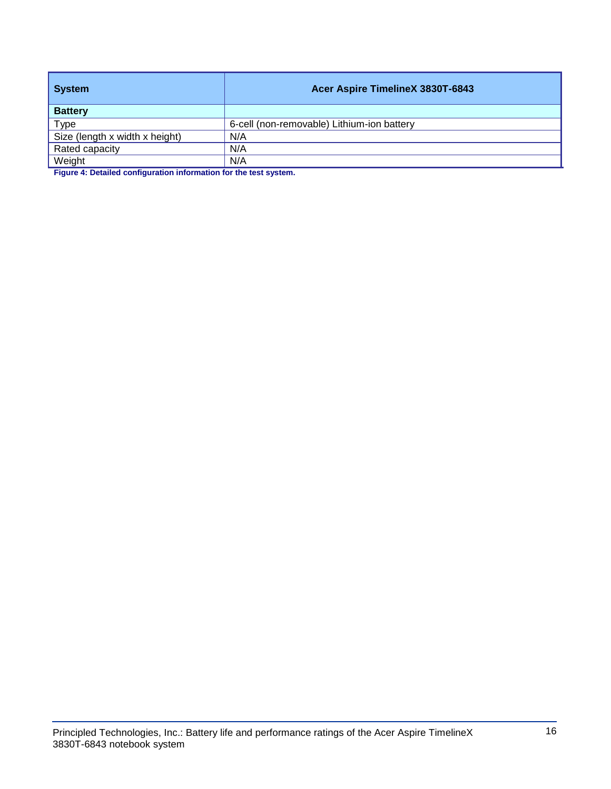| <b>System</b>                  | Acer Aspire TimelineX 3830T-6843           |
|--------------------------------|--------------------------------------------|
| <b>Battery</b>                 |                                            |
| <b>Type</b>                    | 6-cell (non-removable) Lithium-ion battery |
| Size (length x width x height) | N/A                                        |
| Rated capacity                 | N/A                                        |
| Weight                         | N/A                                        |

**Figure 4: Detailed configuration information for the test system.**